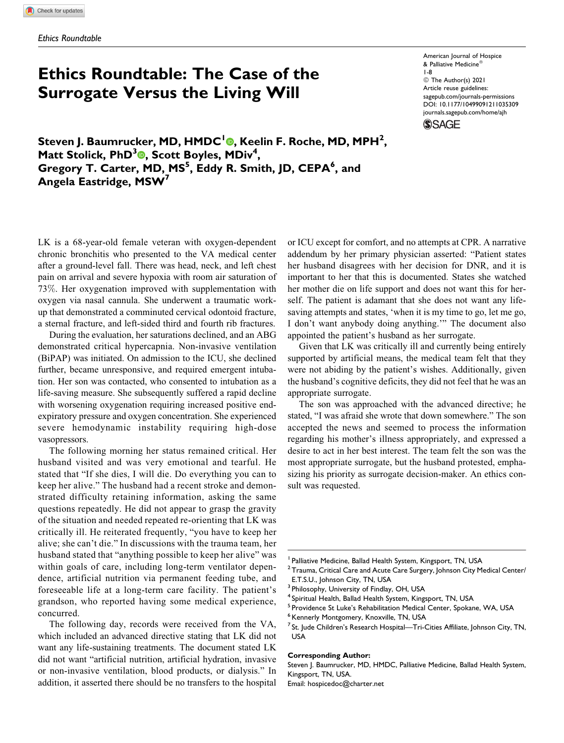# **Ethics Roundtable: The Case of the Surrogate Versus the Living Will**

American Journal of Hospice & Palliative Medicine® 1-8 © The Author(s) 2021 Article reuse guidelines: [sagepub.com/journals-permissions](https://sagepub.com/journals-permissions) [DOI: 10.1177/10499091211035309](https://doi.org/10.1177/10499091211035309) [journals.sagepub.com/home/ajh](http://journals.sagepub.com/home/ajh)**SSAGE** 

**Steven J. Baumrucker, MD, HMDC[1](https://orcid.org/0000-0002-4902-8579) , Keelin F. Roche, MD, MPH<sup>2</sup> , Matt Stolick[,](https://orcid.org/0000-0003-0540-7216) PhD<sup>3</sup><sup>O</sup>, Scott Boyles, MDiv<sup>4</sup>, Gregory T. Carter, MD, MS<sup>5</sup> , Eddy R. Smith, JD, CEPA<sup>6</sup> , and Angela Eastridge, MSW<sup>7</sup>**

LK is a 68-year-old female veteran with oxygen-dependent chronic bronchitis who presented to the VA medical center after a ground-level fall. There was head, neck, and left chest pain on arrival and severe hypoxia with room air saturation of 73%. Her oxygenation improved with supplementation with oxygen via nasal cannula. She underwent a traumatic workup that demonstrated a comminuted cervical odontoid fracture, a sternal fracture, and left-sided third and fourth rib fractures.

During the evaluation, her saturations declined, and an ABG demonstrated critical hypercapnia. Non-invasive ventilation (BiPAP) was initiated. On admission to the ICU, she declined further, became unresponsive, and required emergent intubation. Her son was contacted, who consented to intubation as a life-saving measure. She subsequently suffered a rapid decline with worsening oxygenation requiring increased positive endexpiratory pressure and oxygen concentration. She experienced severe hemodynamic instability requiring high-dose vasopressors.

The following morning her status remained critical. Her husband visited and was very emotional and tearful. He stated that "If she dies, I will die. Do everything you can to keep her alive." The husband had a recent stroke and demonstrated difficulty retaining information, asking the same questions repeatedly. He did not appear to grasp the gravity of the situation and needed repeated re-orienting that LK was critically ill. He reiterated frequently, "you have to keep her alive; she can't die." In discussions with the trauma team, her husband stated that "anything possible to keep her alive" was within goals of care, including long-term ventilator dependence, artificial nutrition via permanent feeding tube, and foreseeable life at a long-term care facility. The patient's grandson, who reported having some medical experience, concurred.

The following day, records were received from the VA, which included an advanced directive stating that LK did not want any life-sustaining treatments. The document stated LK did not want "artificial nutrition, artificial hydration, invasive or non-invasive ventilation, blood products, or dialysis." In addition, it asserted there should be no transfers to the hospital

or ICU except for comfort, and no attempts at CPR. A narrative addendum by her primary physician asserted: "Patient states her husband disagrees with her decision for DNR, and it is important to her that this is documented. States she watched her mother die on life support and does not want this for herself. The patient is adamant that she does not want any lifesaving attempts and states, 'when it is my time to go, let me go, I don't want anybody doing anything.'" The document also appointed the patient's husband as her surrogate.

Given that LK was critically ill and currently being entirely supported by artificial means, the medical team felt that they were not abiding by the patient's wishes. Additionally, given the husband's cognitive deficits, they did not feel that he was an appropriate surrogate.

The son was approached with the advanced directive; he stated, "I was afraid she wrote that down somewhere." The son accepted the news and seemed to process the information regarding his mother's illness appropriately, and expressed a desire to act in her best interest. The team felt the son was the most appropriate surrogate, but the husband protested, emphasizing his priority as surrogate decision-maker. An ethics consult was requested.

#### **Corresponding Author:**

Steven J. Baumrucker, MD, HMDC, Palliative Medicine, Ballad Health System, Kingsport, TN, USA.

Email: [hospicedoc@charter.net](mailto:hospicedoc@charter.net)

Palliative Medicine, Ballad Health System, Kingsport, TN, USA

 $2$  Trauma, Critical Care and Acute Care Surgery, Johnson City Medical Center/ E.T.S.U., Johnson City, TN, USA

<sup>&</sup>lt;sup>3</sup> Philosophy, University of Findlay, OH, USA

<sup>&</sup>lt;sup>4</sup> Spiritual Health, Ballad Health System, Kingsport, TN, USA<br><sup>5</sup> Providence St Luke's Rebabilitation Medical Center, Spekar

Providence St Luke's Rehabilitation Medical Center, Spokane, WA, USA

<sup>&</sup>lt;sup>6</sup> Kennerly Montgomery, Knoxville, TN, USA

<sup>&</sup>lt;sup>7</sup> St. Jude Children's Research Hospital—Tri-Cities Affiliate, Johnson City, TN, USA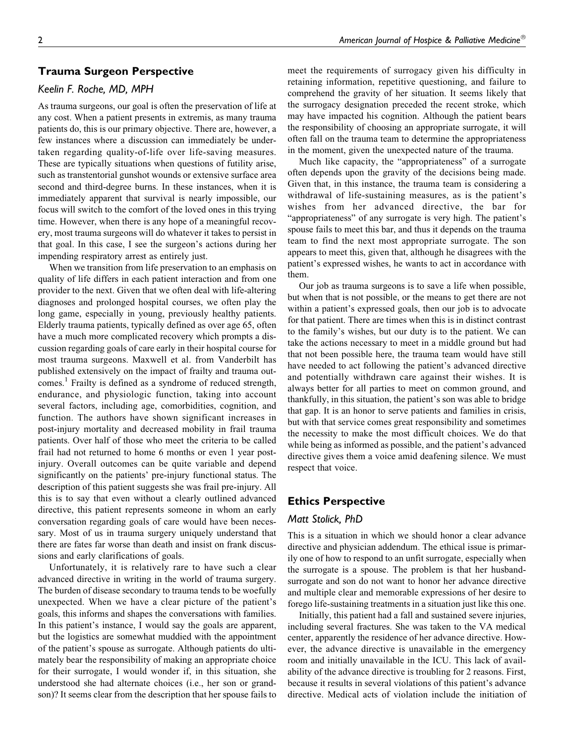# **Trauma Surgeon Perspective**

#### *Keelin F. Roche, MD, MPH*

As trauma surgeons, our goal is often the preservation of life at any cost. When a patient presents in extremis, as many trauma patients do, this is our primary objective. There are, however, a few instances where a discussion can immediately be undertaken regarding quality-of-life over life-saving measures. These are typically situations when questions of futility arise, such as transtentorial gunshot wounds or extensive surface area second and third-degree burns. In these instances, when it is immediately apparent that survival is nearly impossible, our focus will switch to the comfort of the loved ones in this trying time. However, when there is any hope of a meaningful recovery, most trauma surgeons will do whatever it takes to persist in that goal. In this case, I see the surgeon's actions during her impending respiratory arrest as entirely just.

When we transition from life preservation to an emphasis on quality of life differs in each patient interaction and from one provider to the next. Given that we often deal with life-altering diagnoses and prolonged hospital courses, we often play the long game, especially in young, previously healthy patients. Elderly trauma patients, typically defined as over age 65, often have a much more complicated recovery which prompts a discussion regarding goals of care early in their hospital course for most trauma surgeons. Maxwell et al. from Vanderbilt has published extensively on the impact of frailty and trauma out-comes.<sup>[1](#page-6-0)</sup> Frailty is defined as a syndrome of reduced strength, endurance, and physiologic function, taking into account several factors, including age, comorbidities, cognition, and function. The authors have shown significant increases in post-injury mortality and decreased mobility in frail trauma patients. Over half of those who meet the criteria to be called frail had not returned to home 6 months or even 1 year postinjury. Overall outcomes can be quite variable and depend significantly on the patients' pre-injury functional status. The description of this patient suggests she was frail pre-injury. All this is to say that even without a clearly outlined advanced directive, this patient represents someone in whom an early conversation regarding goals of care would have been necessary. Most of us in trauma surgery uniquely understand that there are fates far worse than death and insist on frank discussions and early clarifications of goals.

Unfortunately, it is relatively rare to have such a clear advanced directive in writing in the world of trauma surgery. The burden of disease secondary to trauma tends to be woefully unexpected. When we have a clear picture of the patient's goals, this informs and shapes the conversations with families. In this patient's instance, I would say the goals are apparent, but the logistics are somewhat muddied with the appointment of the patient's spouse as surrogate. Although patients do ultimately bear the responsibility of making an appropriate choice for their surrogate, I would wonder if, in this situation, she understood she had alternate choices (i.e., her son or grandson)? It seems clear from the description that her spouse fails to

meet the requirements of surrogacy given his difficulty in retaining information, repetitive questioning, and failure to comprehend the gravity of her situation. It seems likely that the surrogacy designation preceded the recent stroke, which may have impacted his cognition. Although the patient bears the responsibility of choosing an appropriate surrogate, it will often fall on the trauma team to determine the appropriateness in the moment, given the unexpected nature of the trauma.

Much like capacity, the "appropriateness" of a surrogate often depends upon the gravity of the decisions being made. Given that, in this instance, the trauma team is considering a withdrawal of life-sustaining measures, as is the patient's wishes from her advanced directive, the bar for "appropriateness" of any surrogate is very high. The patient's spouse fails to meet this bar, and thus it depends on the trauma team to find the next most appropriate surrogate. The son appears to meet this, given that, although he disagrees with the patient's expressed wishes, he wants to act in accordance with them.

Our job as trauma surgeons is to save a life when possible, but when that is not possible, or the means to get there are not within a patient's expressed goals, then our job is to advocate for that patient. There are times when this is in distinct contrast to the family's wishes, but our duty is to the patient. We can take the actions necessary to meet in a middle ground but had that not been possible here, the trauma team would have still have needed to act following the patient's advanced directive and potentially withdrawn care against their wishes. It is always better for all parties to meet on common ground, and thankfully, in this situation, the patient's son was able to bridge that gap. It is an honor to serve patients and families in crisis, but with that service comes great responsibility and sometimes the necessity to make the most difficult choices. We do that while being as informed as possible, and the patient's advanced directive gives them a voice amid deafening silence. We must respect that voice.

## **Ethics Perspective**

#### *Matt Stolick, PhD*

This is a situation in which we should honor a clear advance directive and physician addendum. The ethical issue is primarily one of how to respond to an unfit surrogate, especially when the surrogate is a spouse. The problem is that her husbandsurrogate and son do not want to honor her advance directive and multiple clear and memorable expressions of her desire to forego life-sustaining treatments in a situation just like this one.

Initially, this patient had a fall and sustained severe injuries, including several fractures. She was taken to the VA medical center, apparently the residence of her advance directive. However, the advance directive is unavailable in the emergency room and initially unavailable in the ICU. This lack of availability of the advance directive is troubling for 2 reasons. First, because it results in several violations of this patient's advance directive. Medical acts of violation include the initiation of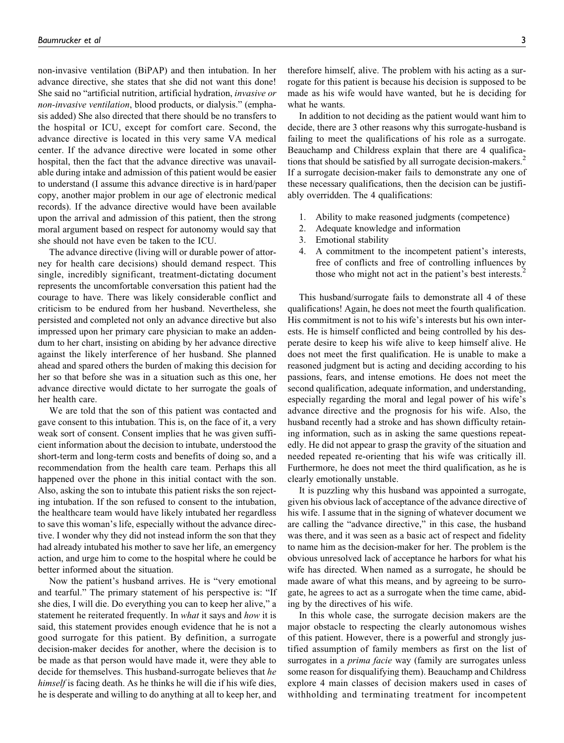non-invasive ventilation (BiPAP) and then intubation. In her advance directive, she states that she did not want this done! She said no "artificial nutrition, artificial hydration, invasive or non-invasive ventilation, blood products, or dialysis." (emphasis added) She also directed that there should be no transfers to the hospital or ICU, except for comfort care. Second, the advance directive is located in this very same VA medical center. If the advance directive were located in some other hospital, then the fact that the advance directive was unavailable during intake and admission of this patient would be easier to understand (I assume this advance directive is in hard/paper copy, another major problem in our age of electronic medical records). If the advance directive would have been available upon the arrival and admission of this patient, then the strong moral argument based on respect for autonomy would say that she should not have even be taken to the ICU.

The advance directive (living will or durable power of attorney for health care decisions) should demand respect. This single, incredibly significant, treatment-dictating document represents the uncomfortable conversation this patient had the courage to have. There was likely considerable conflict and criticism to be endured from her husband. Nevertheless, she persisted and completed not only an advance directive but also impressed upon her primary care physician to make an addendum to her chart, insisting on abiding by her advance directive against the likely interference of her husband. She planned ahead and spared others the burden of making this decision for her so that before she was in a situation such as this one, her advance directive would dictate to her surrogate the goals of her health care.

We are told that the son of this patient was contacted and gave consent to this intubation. This is, on the face of it, a very weak sort of consent. Consent implies that he was given sufficient information about the decision to intubate, understood the short-term and long-term costs and benefits of doing so, and a recommendation from the health care team. Perhaps this all happened over the phone in this initial contact with the son. Also, asking the son to intubate this patient risks the son rejecting intubation. If the son refused to consent to the intubation, the healthcare team would have likely intubated her regardless to save this woman's life, especially without the advance directive. I wonder why they did not instead inform the son that they had already intubated his mother to save her life, an emergency action, and urge him to come to the hospital where he could be better informed about the situation.

Now the patient's husband arrives. He is "very emotional and tearful." The primary statement of his perspective is: "If she dies, I will die. Do everything you can to keep her alive," a statement he reiterated frequently. In *what* it says and *how* it is said, this statement provides enough evidence that he is not a good surrogate for this patient. By definition, a surrogate decision-maker decides for another, where the decision is to be made as that person would have made it, were they able to decide for themselves. This husband-surrogate believes that he himself is facing death. As he thinks he will die if his wife dies, he is desperate and willing to do anything at all to keep her, and

therefore himself, alive. The problem with his acting as a surrogate for this patient is because his decision is supposed to be made as his wife would have wanted, but he is deciding for what he wants.

In addition to not deciding as the patient would want him to decide, there are 3 other reasons why this surrogate-husband is failing to meet the qualifications of his role as a surrogate. Beauchamp and Childress explain that there are 4 qualifica-tions that should be satisfied by all surrogate decision-makers.<sup>[2](#page-6-0)</sup> If a surrogate decision-maker fails to demonstrate any one of these necessary qualifications, then the decision can be justifiably overridden. The 4 qualifications:

- 1. Ability to make reasoned judgments (competence)
- 2. Adequate knowledge and information
- 3. Emotional stability
- 4. A commitment to the incompetent patient's interests, free of conflicts and free of controlling influences by those who might not act in the patient's best interests.<sup>[2](#page-6-0)</sup>

This husband/surrogate fails to demonstrate all 4 of these qualifications! Again, he does not meet the fourth qualification. His commitment is not to his wife's interests but his own interests. He is himself conflicted and being controlled by his desperate desire to keep his wife alive to keep himself alive. He does not meet the first qualification. He is unable to make a reasoned judgment but is acting and deciding according to his passions, fears, and intense emotions. He does not meet the second qualification, adequate information, and understanding, especially regarding the moral and legal power of his wife's advance directive and the prognosis for his wife. Also, the husband recently had a stroke and has shown difficulty retaining information, such as in asking the same questions repeatedly. He did not appear to grasp the gravity of the situation and needed repeated re-orienting that his wife was critically ill. Furthermore, he does not meet the third qualification, as he is clearly emotionally unstable.

It is puzzling why this husband was appointed a surrogate, given his obvious lack of acceptance of the advance directive of his wife. I assume that in the signing of whatever document we are calling the "advance directive," in this case, the husband was there, and it was seen as a basic act of respect and fidelity to name him as the decision-maker for her. The problem is the obvious unresolved lack of acceptance he harbors for what his wife has directed. When named as a surrogate, he should be made aware of what this means, and by agreeing to be surrogate, he agrees to act as a surrogate when the time came, abiding by the directives of his wife.

In this whole case, the surrogate decision makers are the major obstacle to respecting the clearly autonomous wishes of this patient. However, there is a powerful and strongly justified assumption of family members as first on the list of surrogates in a *prima facie* way (family are surrogates unless some reason for disqualifying them). Beauchamp and Childress explore 4 main classes of decision makers used in cases of withholding and terminating treatment for incompetent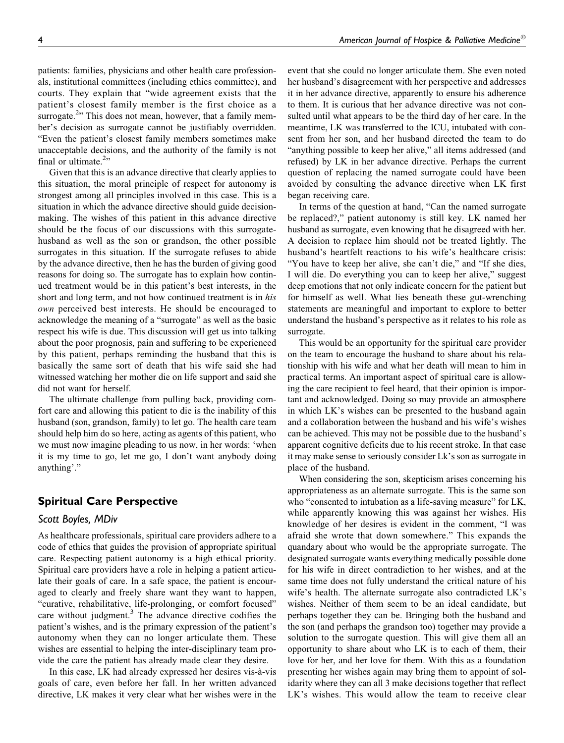patients: families, physicians and other health care professionals, institutional committees (including ethics committee), and courts. They explain that "wide agreement exists that the patient's closest family member is the first choice as a surrogate.<sup>[2](#page-6-0)</sup>" This does not mean, however, that a family member's decision as surrogate cannot be justifiably overridden. "Even the patient's closest family members sometimes make unacceptable decisions, and the authority of the family is not final or ultimate.<sup>[2](#page-6-0)</sup>"

Given that this is an advance directive that clearly applies to this situation, the moral principle of respect for autonomy is strongest among all principles involved in this case. This is a situation in which the advance directive should guide decisionmaking. The wishes of this patient in this advance directive should be the focus of our discussions with this surrogatehusband as well as the son or grandson, the other possible surrogates in this situation. If the surrogate refuses to abide by the advance directive, then he has the burden of giving good reasons for doing so. The surrogate has to explain how continued treatment would be in this patient's best interests, in the short and long term, and not how continued treatment is in his own perceived best interests. He should be encouraged to acknowledge the meaning of a "surrogate" as well as the basic respect his wife is due. This discussion will get us into talking about the poor prognosis, pain and suffering to be experienced by this patient, perhaps reminding the husband that this is basically the same sort of death that his wife said she had witnessed watching her mother die on life support and said she did not want for herself.

The ultimate challenge from pulling back, providing comfort care and allowing this patient to die is the inability of this husband (son, grandson, family) to let go. The health care team should help him do so here, acting as agents of this patient, who we must now imagine pleading to us now, in her words: 'when it is my time to go, let me go, I don't want anybody doing anything'."

## **Spiritual Care Perspective**

## *Scott Boyles, MDiv*

As healthcare professionals, spiritual care providers adhere to a code of ethics that guides the provision of appropriate spiritual care. Respecting patient autonomy is a high ethical priority. Spiritual care providers have a role in helping a patient articulate their goals of care. In a safe space, the patient is encouraged to clearly and freely share want they want to happen, "curative, rehabilitative, life-prolonging, or comfort focused" care without judgment.<sup>[3](#page-7-0)</sup> The advance directive codifies the patient's wishes, and is the primary expression of the patient's autonomy when they can no longer articulate them. These wishes are essential to helping the inter-disciplinary team provide the care the patient has already made clear they desire.

In this case, LK had already expressed her desires vis-à-vis goals of care, even before her fall. In her written advanced directive, LK makes it very clear what her wishes were in the

event that she could no longer articulate them. She even noted her husband's disagreement with her perspective and addresses it in her advance directive, apparently to ensure his adherence to them. It is curious that her advance directive was not consulted until what appears to be the third day of her care. In the meantime, LK was transferred to the ICU, intubated with consent from her son, and her husband directed the team to do "anything possible to keep her alive," all items addressed (and refused) by LK in her advance directive. Perhaps the current question of replacing the named surrogate could have been avoided by consulting the advance directive when LK first began receiving care.

In terms of the question at hand, "Can the named surrogate be replaced?," patient autonomy is still key. LK named her husband as surrogate, even knowing that he disagreed with her. A decision to replace him should not be treated lightly. The husband's heartfelt reactions to his wife's healthcare crisis: "You have to keep her alive, she can't die," and "If she dies, I will die. Do everything you can to keep her alive," suggest deep emotions that not only indicate concern for the patient but for himself as well. What lies beneath these gut-wrenching statements are meaningful and important to explore to better understand the husband's perspective as it relates to his role as surrogate.

This would be an opportunity for the spiritual care provider on the team to encourage the husband to share about his relationship with his wife and what her death will mean to him in practical terms. An important aspect of spiritual care is allowing the care recipient to feel heard, that their opinion is important and acknowledged. Doing so may provide an atmosphere in which LK's wishes can be presented to the husband again and a collaboration between the husband and his wife's wishes can be achieved. This may not be possible due to the husband's apparent cognitive deficits due to his recent stroke. In that case it may make sense to seriously consider Lk's son as surrogate in place of the husband.

When considering the son, skepticism arises concerning his appropriateness as an alternate surrogate. This is the same son who "consented to intubation as a life-saving measure" for LK, while apparently knowing this was against her wishes. His knowledge of her desires is evident in the comment, "I was afraid she wrote that down somewhere." This expands the quandary about who would be the appropriate surrogate. The designated surrogate wants everything medically possible done for his wife in direct contradiction to her wishes, and at the same time does not fully understand the critical nature of his wife's health. The alternate surrogate also contradicted LK's wishes. Neither of them seem to be an ideal candidate, but perhaps together they can be. Bringing both the husband and the son (and perhaps the grandson too) together may provide a solution to the surrogate question. This will give them all an opportunity to share about who LK is to each of them, their love for her, and her love for them. With this as a foundation presenting her wishes again may bring them to appoint of solidarity where they can all 3 make decisions together that reflect LK's wishes. This would allow the team to receive clear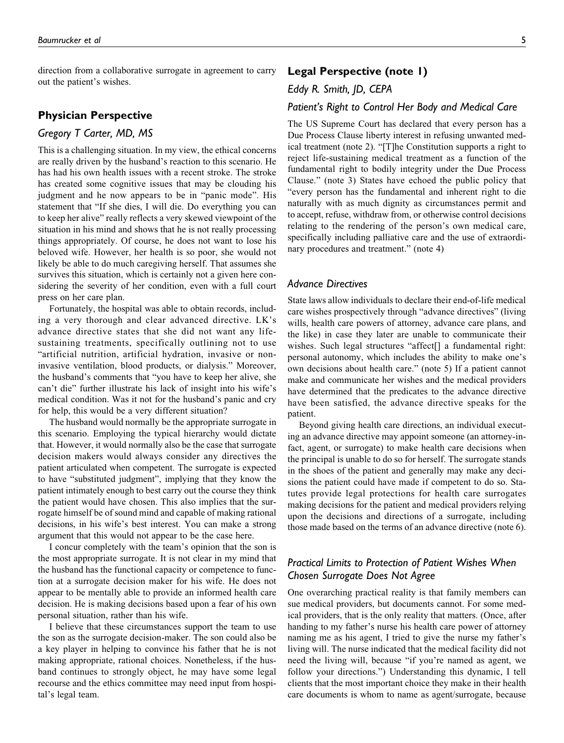direction from a collaborative surrogate in agreement to carry out the patient's wishes.

## **Physician Perspective**

### *Gregory T Carter, MD, MS*

This is a challenging situation. In my view, the ethical concerns are really driven by the husband's reaction to this scenario. He has had his own health issues with a recent stroke. The stroke has created some cognitive issues that may be clouding his judgment and he now appears to be in "panic mode". His statement that "If she dies, I will die. Do everything you can to keep her alive" really reflects a very skewed viewpoint of the situation in his mind and shows that he is not really processing things appropriately. Of course, he does not want to lose his beloved wife. However, her health is so poor, she would not likely be able to do much caregiving herself. That assumes she survives this situation, which is certainly not a given here considering the severity of her condition, even with a full court press on her care plan.

Fortunately, the hospital was able to obtain records, including a very thorough and clear advanced directive. LK's advance directive states that she did not want any lifesustaining treatments, specifically outlining not to use "artificial nutrition, artificial hydration, invasive or noninvasive ventilation, blood products, or dialysis." Moreover, the husband's comments that "you have to keep her alive, she can't die" further illustrate his lack of insight into his wife's medical condition. Was it not for the husband's panic and cry for help, this would be a very different situation?

The husband would normally be the appropriate surrogate in this scenario. Employing the typical hierarchy would dictate that. However, it would normally also be the case that surrogate decision makers would always consider any directives the patient articulated when competent. The surrogate is expected to have "substituted judgment", implying that they know the patient intimately enough to best carry out the course they think the patient would have chosen. This also implies that the surrogate himself be of sound mind and capable of making rational decisions, in his wife's best interest. You can make a strong argument that this would not appear to be the case here.

I concur completely with the team's opinion that the son is the most appropriate surrogate. It is not clear in my mind that the husband has the functional capacity or competence to function at a surrogate decision maker for his wife. He does not appear to be mentally able to provide an informed health care decision. He is making decisions based upon a fear of his own personal situation, rather than his wife.

I believe that these circumstances support the team to use the son as the surrogate decision-maker. The son could also be a key player in helping to convince his father that he is not making appropriate, rational choices. Nonetheless, if the husband continues to strongly object, he may have some legal recourse and the ethics committee may need input from hospital's legal team.

## **Legal Perspective [\(note 1\)](#page-6-0)**

## *Eddy R. Smith, JD, CEPA*

## *Patient's Right to Control Her Body and Medical Care*

The US Supreme Court has declared that every person has a Due Process Clause liberty interest in refusing unwanted medical treatment ([note 2\)](#page-6-0). "[T]he Constitution supports a right to reject life-sustaining medical treatment as a function of the fundamental right to bodily integrity under the Due Process Clause." ([note 3\)](#page-6-0) States have echoed the public policy that "every person has the fundamental and inherent right to die naturally with as much dignity as circumstances permit and to accept, refuse, withdraw from, or otherwise control decisions relating to the rendering of the person's own medical care, specifically including palliative care and the use of extraordinary procedures and treatment." [\(note 4](#page-6-0))

#### *Advance Directives*

State laws allow individuals to declare their end-of-life medical care wishes prospectively through "advance directives" (living wills, health care powers of attorney, advance care plans, and the like) in case they later are unable to communicate their wishes. Such legal structures "affect[] a fundamental right: personal autonomy, which includes the ability to make one's own decisions about health care." [\(note 5\)](#page-6-0) If a patient cannot make and communicate her wishes and the medical providers have determined that the predicates to the advance directive have been satisfied, the advance directive speaks for the patient.

Beyond giving health care directions, an individual executing an advance directive may appoint someone (an attorney-infact, agent, or surrogate) to make health care decisions when the principal is unable to do so for herself. The surrogate stands in the shoes of the patient and generally may make any decisions the patient could have made if competent to do so. Statutes provide legal protections for health care surrogates making decisions for the patient and medical providers relying upon the decisions and directions of a surrogate, including those made based on the terms of an advance directive ([note 6](#page-6-0)).

# *Practical Limits to Protection of Patient Wishes When Chosen Surrogate Does Not Agree*

One overarching practical reality is that family members can sue medical providers, but documents cannot. For some medical providers, that is the only reality that matters. (Once, after handing to my father's nurse his health care power of attorney naming me as his agent, I tried to give the nurse my father's living will. The nurse indicated that the medical facility did not need the living will, because "if you're named as agent, we follow your directions.") Understanding this dynamic, I tell clients that the most important choice they make in their health care documents is whom to name as agent/surrogate, because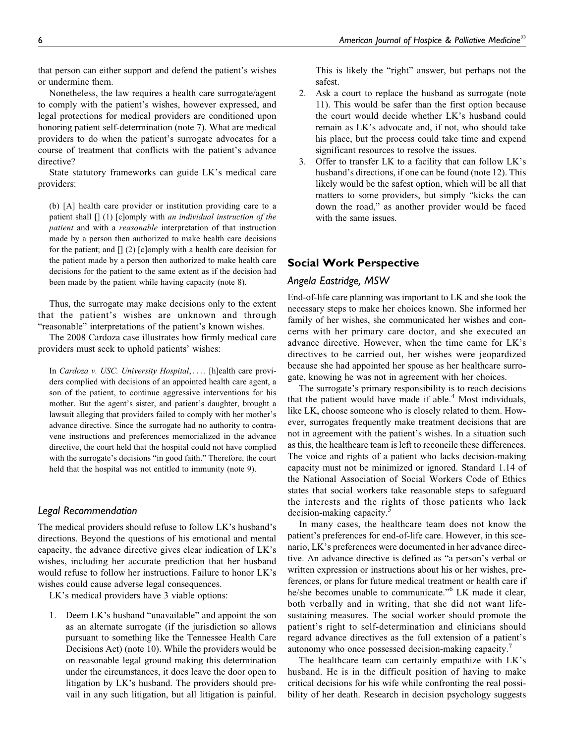that person can either support and defend the patient's wishes or undermine them.

Nonetheless, the law requires a health care surrogate/agent to comply with the patient's wishes, however expressed, and legal protections for medical providers are conditioned upon honoring patient self-determination [\(note 7](#page-6-0)). What are medical providers to do when the patient's surrogate advocates for a course of treatment that conflicts with the patient's advance directive?

State statutory frameworks can guide LK's medical care providers:

(b) [A] health care provider or institution providing care to a patient shall  $[] (1)$  [c]omply with *an individual instruction of the* patient and with a reasonable interpretation of that instruction made by a person then authorized to make health care decisions for the patient; and [] (2) [c]omply with a health care decision for the patient made by a person then authorized to make health care decisions for the patient to the same extent as if the decision had been made by the patient while having capacity [\(note 8\)](#page-6-0).

Thus, the surrogate may make decisions only to the extent that the patient's wishes are unknown and through "reasonable" interpretations of the patient's known wishes.

The 2008 Cardoza case illustrates how firmly medical care providers must seek to uphold patients' wishes:

In Cardoza v. USC. University Hospital, ... . [h]ealth care providers complied with decisions of an appointed health care agent, a son of the patient, to continue aggressive interventions for his mother. But the agent's sister, and patient's daughter, brought a lawsuit alleging that providers failed to comply with her mother's advance directive. Since the surrogate had no authority to contravene instructions and preferences memorialized in the advance directive, the court held that the hospital could not have complied with the surrogate's decisions "in good faith." Therefore, the court held that the hospital was not entitled to immunity [\(note 9\)](#page-6-0).

#### *Legal Recommendation*

The medical providers should refuse to follow LK's husband's directions. Beyond the questions of his emotional and mental capacity, the advance directive gives clear indication of LK's wishes, including her accurate prediction that her husband would refuse to follow her instructions. Failure to honor LK's wishes could cause adverse legal consequences.

LK's medical providers have 3 viable options:

1. Deem LK's husband "unavailable" and appoint the son as an alternate surrogate (if the jurisdiction so allows pursuant to something like the Tennessee Health Care Decisions Act) ([note 10](#page-6-0)). While the providers would be on reasonable legal ground making this determination under the circumstances, it does leave the door open to litigation by LK's husband. The providers should prevail in any such litigation, but all litigation is painful.

This is likely the "right" answer, but perhaps not the safest.

- 2. Ask a court to replace the husband as surrogate ([note](#page-6-0) [11](#page-6-0)). This would be safer than the first option because the court would decide whether LK's husband could remain as LK's advocate and, if not, who should take his place, but the process could take time and expend significant resources to resolve the issues.
- 3. Offer to transfer LK to a facility that can follow LK's husband's directions, if one can be found [\(note 12](#page-6-0)). This likely would be the safest option, which will be all that matters to some providers, but simply "kicks the can down the road," as another provider would be faced with the same issues.

## **Social Work Perspective**

#### *Angela Eastridge, MSW*

End-of-life care planning was important to LK and she took the necessary steps to make her choices known. She informed her family of her wishes, she communicated her wishes and concerns with her primary care doctor, and she executed an advance directive. However, when the time came for LK's directives to be carried out, her wishes were jeopardized because she had appointed her spouse as her healthcare surrogate, knowing he was not in agreement with her choices.

The surrogate's primary responsibility is to reach decisions that the patient would have made if able. $4$  Most individuals, like LK, choose someone who is closely related to them. However, surrogates frequently make treatment decisions that are not in agreement with the patient's wishes. In a situation such as this, the healthcare team is left to reconcile these differences. The voice and rights of a patient who lacks decision-making capacity must not be minimized or ignored. Standard 1.14 of the National Association of Social Workers Code of Ethics states that social workers take reasonable steps to safeguard the interests and the rights of those patients who lack decision-making capacity.<sup>[5](#page-7-0)</sup>

In many cases, the healthcare team does not know the patient's preferences for end-of-life care. However, in this scenario, LK's preferences were documented in her advance directive. An advance directive is defined as "a person's verbal or written expression or instructions about his or her wishes, preferences, or plans for future medical treatment or health care if he/she becomes unable to communicate."<sup>[6](#page-7-0)</sup> LK made it clear, both verbally and in writing, that she did not want lifesustaining measures. The social worker should promote the patient's right to self-determination and clinicians should regard advance directives as the full extension of a patient's autonomy who once possessed decision-making capacity.<sup>[7](#page-7-0)</sup>

The healthcare team can certainly empathize with LK's husband. He is in the difficult position of having to make critical decisions for his wife while confronting the real possibility of her death. Research in decision psychology suggests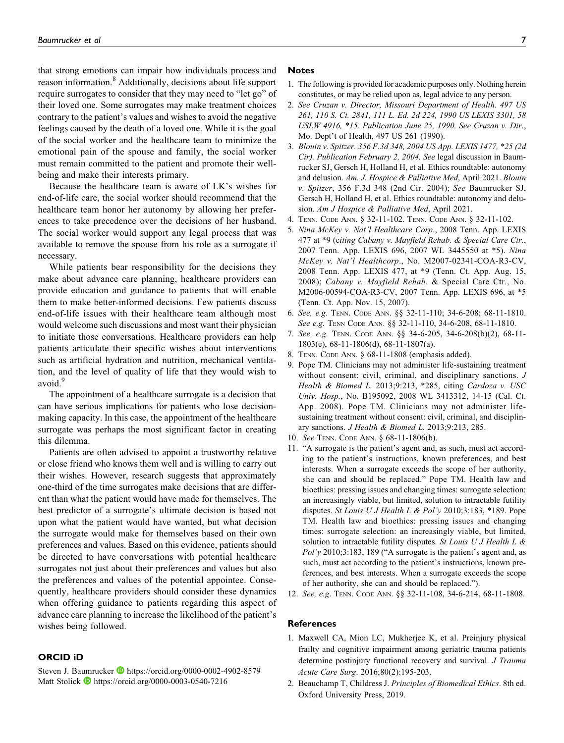<span id="page-6-0"></span>that strong emotions can impair how individuals process and reason information.<sup>[8](#page-7-0)</sup> Additionally, decisions about life support require surrogates to consider that they may need to "let go" of their loved one. Some surrogates may make treatment choices contrary to the patient's values and wishes to avoid the negative feelings caused by the death of a loved one. While it is the goal of the social worker and the healthcare team to minimize the emotional pain of the spouse and family, the social worker must remain committed to the patient and promote their wellbeing and make their interests primary.

Because the healthcare team is aware of LK's wishes for end-of-life care, the social worker should recommend that the healthcare team honor her autonomy by allowing her preferences to take precedence over the decisions of her husband. The social worker would support any legal process that was available to remove the spouse from his role as a surrogate if necessary.

While patients bear responsibility for the decisions they make about advance care planning, healthcare providers can provide education and guidance to patients that will enable them to make better-informed decisions. Few patients discuss end-of-life issues with their healthcare team although most would welcome such discussions and most want their physician to initiate those conversations. Healthcare providers can help patients articulate their specific wishes about interventions such as artificial hydration and nutrition, mechanical ventilation, and the level of quality of life that they would wish to avoid.<sup>[9](#page-7-0)</sup>

The appointment of a healthcare surrogate is a decision that can have serious implications for patients who lose decisionmaking capacity. In this case, the appointment of the healthcare surrogate was perhaps the most significant factor in creating this dilemma.

Patients are often advised to appoint a trustworthy relative or close friend who knows them well and is willing to carry out their wishes. However, research suggests that approximately one-third of the time surrogates make decisions that are different than what the patient would have made for themselves. The best predictor of a surrogate's ultimate decision is based not upon what the patient would have wanted, but what decision the surrogate would make for themselves based on their own preferences and values. Based on this evidence, patients should be directed to have conversations with potential healthcare surrogates not just about their preferences and values but also the preferences and values of the potential appointee. Consequently, healthcare providers should consider these dynamics when offering guidance to patients regarding this aspect of advance care planning to increase the likelihood of the patient's wishes being followed.

#### **ORCID iD**

Steven J. Baumrucker **D** <https://orcid.org/0000-0002-4902-8579> Matt Stolick **<https://orcid.org/0000-0003-0540-7216>** 

#### **Notes**

- 1. The following is provided for academic purposes only. Nothing herein constitutes, or may be relied upon as, legal advice to any person.
- 2. See Cruzan v. Director, Missouri Department of Health. 497 US 261, 110 S. Ct. 2841, 111 L. Ed. 2d 224, 1990 US LEXIS 3301, 58 USLW 4916, \*15. Publication June 25, 1990. See Cruzan v. Dir., Mo. Dept't of Health, 497 US 261 (1990).
- 3. Blouin v. Spitzer. 356 F.3d 348, 2004 US App. LEXIS 1477, \*25 (2d Cir). Publication February 2, 2004. See legal discussion in Baumrucker SJ, Gersch H, Holland H, et al. Ethics roundtable: autonomy and delusion. Am. J. Hospice & Palliative Med, April 2021. Blouin v. Spitzer, 356 F.3d 348 (2nd Cir. 2004); See Baumrucker SJ, Gersch H, Holland H, et al. Ethics roundtable: autonomy and delusion. Am J Hospice & Palliative Med, April 2021.
- 4. TENN. CODE ANN. § 32-11-102. TENN. CODE ANN. § 32-11-102.
- 5. Nina McKey v. Nat'l Healthcare Corp., 2008 Tenn. App. LEXIS 477 at \*9 (citing Cabany v. Mayfield Rehab. & Special Care Ctr., 2007 Tenn. App. LEXIS 696, 2007 WL 3445550 at \*5). Nina McKey v. Nat'l Healthcorp., No. M2007-02341-COA-R3-CV, 2008 Tenn. App. LEXIS 477, at \*9 (Tenn. Ct. App. Aug. 15, 2008); Cabany v. Mayfield Rehab. & Special Care Ctr., No. M2006-00594-COA-R3-CV, 2007 Tenn. App. LEXIS 696, at \*5 (Tenn. Ct. App. Nov. 15, 2007).
- 6. See, e.g. TENN. CODE ANN. §§ 32-11-110; 34-6-208; 68-11-1810. See e.g. TENN CODE ANN. §§ 32-11-110, 34-6-208, 68-11-1810.
- 7. See, e.g. TENN. CODE ANN. §§ 34-6-205, 34-6-208(b)(2), 68-11- 1803(e), 68-11-1806(d), 68-11-1807(a).
- 8. TENN. CODE ANN. § 68-11-1808 (emphasis added).
- 9. Pope TM. Clinicians may not administer life-sustaining treatment without consent: civil, criminal, and disciplinary sanctions. J Health & Biomed L. 2013;9:213, \*285, citing Cardoza v. USC Univ. Hosp., No. B195092, 2008 WL 3413312, 14-15 (Cal. Ct. App. 2008). Pope TM. Clinicians may not administer lifesustaining treatment without consent: civil, criminal, and disciplinary sanctions. J Health & Biomed L. 2013;9:213, 285.
- 10. See TENN. CODE ANN. § 68-11-1806(b).
- 11. "A surrogate is the patient's agent and, as such, must act according to the patient's instructions, known preferences, and best interests. When a surrogate exceeds the scope of her authority, she can and should be replaced." Pope TM. Health law and bioethics: pressing issues and changing times: surrogate selection: an increasingly viable, but limited, solution to intractable futility disputes. St Louis U J Health L & Pol'y 2010;3:183, \*189. Pope TM. Health law and bioethics: pressing issues and changing times: surrogate selection: an increasingly viable, but limited, solution to intractable futility disputes. St Louis  $UJ$  Health L &  $Pol'y$  2010;3:183, 189 ("A surrogate is the patient's agent and, as such, must act according to the patient's instructions, known preferences, and best interests. When a surrogate exceeds the scope of her authority, she can and should be replaced.").
- 12. See, e.g. TENN. CODE ANN. §§ 32-11-108, 34-6-214, 68-11-1808.

#### **References**

- 1. Maxwell CA, Mion LC, Mukherjee K, et al. Preinjury physical frailty and cognitive impairment among geriatric trauma patients determine postinjury functional recovery and survival. *J Trauma* Acute Care Surg. 2016;80(2):195-203.
- 2. Beauchamp T, Childress J. Principles of Biomedical Ethics. 8th ed. Oxford University Press, 2019.